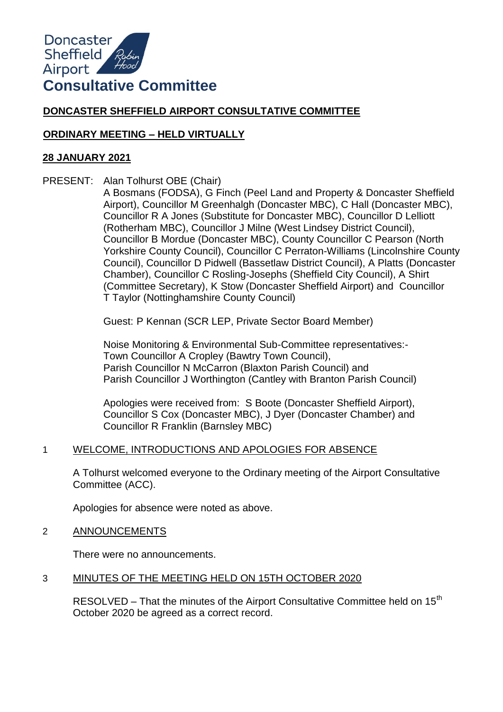# **DONCASTER SHEFFIELD AIRPORT CONSULTATIVE COMMITTEE**

## **ORDINARY MEETING – HELD VIRTUALLY**

### **28 JANUARY 2021**

PRESENT: Alan Tolhurst OBE (Chair)

A Bosmans (FODSA), G Finch (Peel Land and Property & Doncaster Sheffield Airport), Councillor M Greenhalgh (Doncaster MBC), C Hall (Doncaster MBC), Councillor R A Jones (Substitute for Doncaster MBC), Councillor D Lelliott (Rotherham MBC), Councillor J Milne (West Lindsey District Council), Councillor B Mordue (Doncaster MBC), County Councillor C Pearson (North Yorkshire County Council), Councillor C Perraton-Williams (Lincolnshire County Council), Councillor D Pidwell (Bassetlaw District Council), A Platts (Doncaster Chamber), Councillor C Rosling-Josephs (Sheffield City Council), A Shirt (Committee Secretary), K Stow (Doncaster Sheffield Airport) and Councillor T Taylor (Nottinghamshire County Council)

Guest: P Kennan (SCR LEP, Private Sector Board Member)

Noise Monitoring & Environmental Sub-Committee representatives:- Town Councillor A Cropley (Bawtry Town Council), Parish Councillor N McCarron (Blaxton Parish Council) and Parish Councillor J Worthington (Cantley with Branton Parish Council)

Apologies were received from: S Boote (Doncaster Sheffield Airport), Councillor S Cox (Doncaster MBC), J Dyer (Doncaster Chamber) and Councillor R Franklin (Barnsley MBC)

## 1 WELCOME, INTRODUCTIONS AND APOLOGIES FOR ABSENCE

A Tolhurst welcomed everyone to the Ordinary meeting of the Airport Consultative Committee (ACC).

Apologies for absence were noted as above.

2 ANNOUNCEMENTS

There were no announcements.

## 3 MINUTES OF THE MEETING HELD ON 15TH OCTOBER 2020

RESOLVED – That the minutes of the Airport Consultative Committee held on  $15<sup>th</sup>$ October 2020 be agreed as a correct record.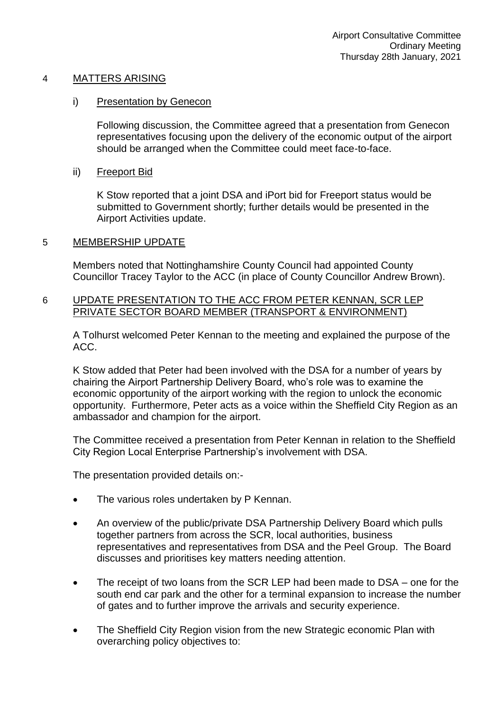### 4 MATTERS ARISING

#### i) Presentation by Genecon

Following discussion, the Committee agreed that a presentation from Genecon representatives focusing upon the delivery of the economic output of the airport should be arranged when the Committee could meet face-to-face.

## ii) Freeport Bid

K Stow reported that a joint DSA and iPort bid for Freeport status would be submitted to Government shortly; further details would be presented in the Airport Activities update.

### 5 MEMBERSHIP UPDATE

Members noted that Nottinghamshire County Council had appointed County Councillor Tracey Taylor to the ACC (in place of County Councillor Andrew Brown).

## 6 UPDATE PRESENTATION TO THE ACC FROM PETER KENNAN, SCR LEP PRIVATE SECTOR BOARD MEMBER (TRANSPORT & ENVIRONMENT)

A Tolhurst welcomed Peter Kennan to the meeting and explained the purpose of the ACC.

K Stow added that Peter had been involved with the DSA for a number of years by chairing the Airport Partnership Delivery Board, who's role was to examine the economic opportunity of the airport working with the region to unlock the economic opportunity. Furthermore, Peter acts as a voice within the Sheffield City Region as an ambassador and champion for the airport.

The Committee received a presentation from Peter Kennan in relation to the Sheffield City Region Local Enterprise Partnership's involvement with DSA.

The presentation provided details on:-

- The various roles undertaken by P Kennan.
- An overview of the public/private DSA Partnership Delivery Board which pulls together partners from across the SCR, local authorities, business representatives and representatives from DSA and the Peel Group. The Board discusses and prioritises key matters needing attention.
- The receipt of two loans from the SCR LEP had been made to DSA one for the south end car park and the other for a terminal expansion to increase the number of gates and to further improve the arrivals and security experience.
- The Sheffield City Region vision from the new Strategic economic Plan with overarching policy objectives to: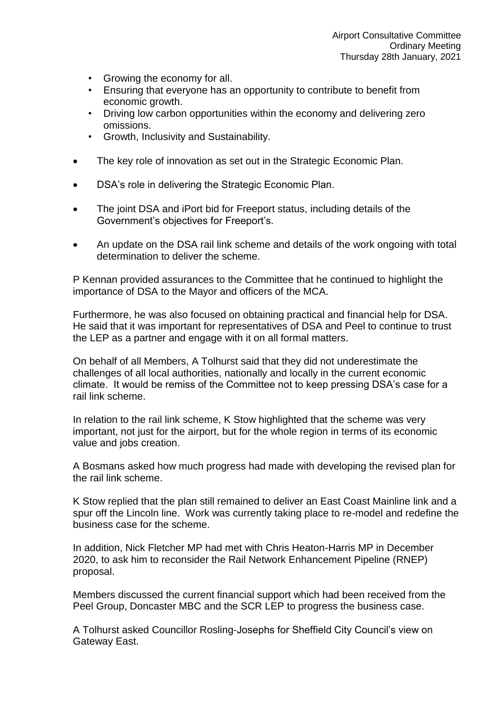- Growing the economy for all.
- Ensuring that everyone has an opportunity to contribute to benefit from economic growth.
- Driving low carbon opportunities within the economy and delivering zero omissions.
- Growth, Inclusivity and Sustainability.
- The key role of innovation as set out in the Strategic Economic Plan.
- DSA's role in delivering the Strategic Economic Plan.
- The joint DSA and iPort bid for Freeport status, including details of the Government's objectives for Freeport's.
- An update on the DSA rail link scheme and details of the work ongoing with total determination to deliver the scheme.

P Kennan provided assurances to the Committee that he continued to highlight the importance of DSA to the Mayor and officers of the MCA.

Furthermore, he was also focused on obtaining practical and financial help for DSA. He said that it was important for representatives of DSA and Peel to continue to trust the LEP as a partner and engage with it on all formal matters.

On behalf of all Members, A Tolhurst said that they did not underestimate the challenges of all local authorities, nationally and locally in the current economic climate. It would be remiss of the Committee not to keep pressing DSA's case for a rail link scheme.

In relation to the rail link scheme, K Stow highlighted that the scheme was very important, not just for the airport, but for the whole region in terms of its economic value and jobs creation.

A Bosmans asked how much progress had made with developing the revised plan for the rail link scheme.

K Stow replied that the plan still remained to deliver an East Coast Mainline link and a spur off the Lincoln line. Work was currently taking place to re-model and redefine the business case for the scheme.

In addition, Nick Fletcher MP had met with Chris Heaton-Harris MP in December 2020, to ask him to reconsider the Rail Network Enhancement Pipeline (RNEP) proposal.

Members discussed the current financial support which had been received from the Peel Group, Doncaster MBC and the SCR LEP to progress the business case.

A Tolhurst asked Councillor Rosling-Josephs for Sheffield City Council's view on Gateway East.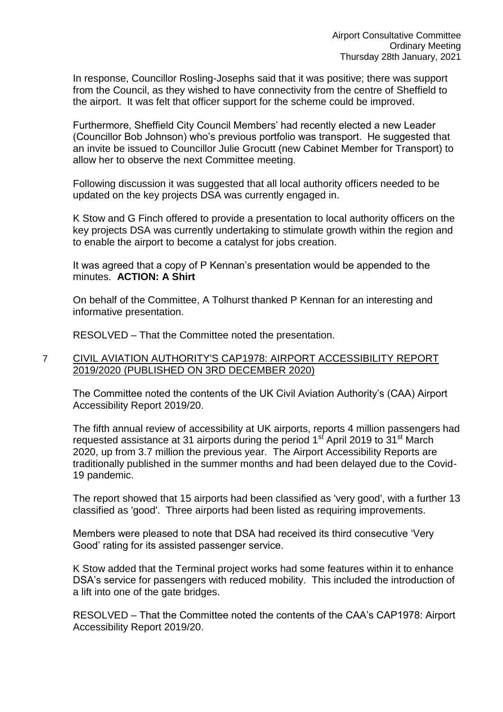In response, Councillor Rosling-Josephs said that it was positive; there was support from the Council, as they wished to have connectivity from the centre of Sheffield to the airport. It was felt that officer support for the scheme could be improved.

Furthermore, Sheffield City Council Members' had recently elected a new Leader (Councillor Bob Johnson) who's previous portfolio was transport. He suggested that an invite be issued to Councillor Julie Grocutt (new Cabinet Member for Transport) to allow her to observe the next Committee meeting.

Following discussion it was suggested that all local authority officers needed to be updated on the key projects DSA was currently engaged in.

K Stow and G Finch offered to provide a presentation to local authority officers on the key projects DSA was currently undertaking to stimulate growth within the region and to enable the airport to become a catalyst for jobs creation.

It was agreed that a copy of P Kennan's presentation would be appended to the minutes. **ACTION: A Shirt** 

On behalf of the Committee, A Tolhurst thanked P Kennan for an interesting and informative presentation.

RESOLVED – That the Committee noted the presentation.

### 7 CIVIL AVIATION AUTHORITY'S CAP1978: AIRPORT ACCESSIBILITY REPORT 2019/2020 (PUBLISHED ON 3RD DECEMBER 2020)

The Committee noted the contents of the UK Civil Aviation Authority's (CAA) Airport Accessibility Report 2019/20.

The fifth annual review of accessibility at UK airports, reports 4 million passengers had requested assistance at 31 airports during the period  $1<sup>st</sup>$  April 2019 to 31 $<sup>st</sup>$  March</sup> 2020, up from 3.7 million the previous year. The Airport Accessibility Reports are traditionally published in the summer months and had been delayed due to the Covid-19 pandemic.

The report showed that 15 airports had been classified as 'very good', with a further 13 classified as 'good'. Three airports had been listed as requiring improvements.

Members were pleased to note that DSA had received its third consecutive 'Very Good' rating for its assisted passenger service.

K Stow added that the Terminal project works had some features within it to enhance DSA's service for passengers with reduced mobility. This included the introduction of a lift into one of the gate bridges.

RESOLVED – That the Committee noted the contents of the CAA's CAP1978: Airport Accessibility Report 2019/20.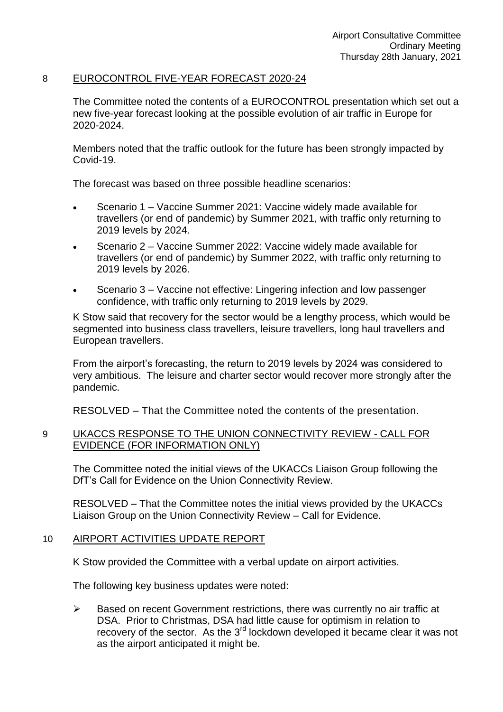## 8 EUROCONTROL FIVE-YEAR FORECAST 2020-24

The Committee noted the contents of a EUROCONTROL presentation which set out a new five-year forecast looking at the possible evolution of air traffic in Europe for 2020-2024.

Members noted that the traffic outlook for the future has been strongly impacted by Covid-19.

The forecast was based on three possible headline scenarios:

- Scenario 1 Vaccine Summer 2021: Vaccine widely made available for travellers (or end of pandemic) by Summer 2021, with traffic only returning to 2019 levels by 2024.
- Scenario 2 Vaccine Summer 2022: Vaccine widely made available for travellers (or end of pandemic) by Summer 2022, with traffic only returning to 2019 levels by 2026.
- Scenario 3 Vaccine not effective: Lingering infection and low passenger confidence, with traffic only returning to 2019 levels by 2029.

K Stow said that recovery for the sector would be a lengthy process, which would be segmented into business class travellers, leisure travellers, long haul travellers and European travellers.

From the airport's forecasting, the return to 2019 levels by 2024 was considered to very ambitious. The leisure and charter sector would recover more strongly after the pandemic.

RESOLVED – That the Committee noted the contents of the presentation.

## 9 UKACCS RESPONSE TO THE UNION CONNECTIVITY REVIEW - CALL FOR EVIDENCE (FOR INFORMATION ONLY)

The Committee noted the initial views of the UKACCs Liaison Group following the DfT's Call for Evidence on the Union Connectivity Review.

RESOLVED – That the Committee notes the initial views provided by the UKACCs Liaison Group on the Union Connectivity Review – Call for Evidence.

## 10 AIRPORT ACTIVITIES UPDATE REPORT

K Stow provided the Committee with a verbal update on airport activities.

The following key business updates were noted:

 $\triangleright$  Based on recent Government restrictions, there was currently no air traffic at DSA. Prior to Christmas, DSA had little cause for optimism in relation to recovery of the sector. As the 3<sup>rd</sup> lockdown developed it became clear it was not as the airport anticipated it might be.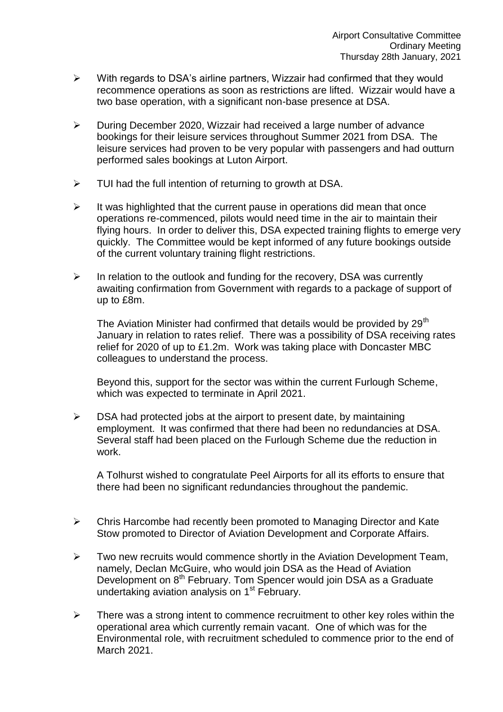- $\triangleright$  With regards to DSA's airline partners, Wizzair had confirmed that they would recommence operations as soon as restrictions are lifted. Wizzair would have a two base operation, with a significant non-base presence at DSA.
- $\triangleright$  During December 2020, Wizzair had received a large number of advance bookings for their leisure services throughout Summer 2021 from DSA. The leisure services had proven to be very popular with passengers and had outturn performed sales bookings at Luton Airport.
- $\triangleright$  TUI had the full intention of returning to growth at DSA.
- $\triangleright$  It was highlighted that the current pause in operations did mean that once operations re-commenced, pilots would need time in the air to maintain their flying hours. In order to deliver this, DSA expected training flights to emerge very quickly. The Committee would be kept informed of any future bookings outside of the current voluntary training flight restrictions.
- $\triangleright$  In relation to the outlook and funding for the recovery, DSA was currently awaiting confirmation from Government with regards to a package of support of up to £8m.

The Aviation Minister had confirmed that details would be provided by  $29<sup>th</sup>$ January in relation to rates relief. There was a possibility of DSA receiving rates relief for 2020 of up to £1.2m. Work was taking place with Doncaster MBC colleagues to understand the process.

Beyond this, support for the sector was within the current Furlough Scheme, which was expected to terminate in April 2021.

 $\triangleright$  DSA had protected jobs at the airport to present date, by maintaining employment. It was confirmed that there had been no redundancies at DSA. Several staff had been placed on the Furlough Scheme due the reduction in work.

A Tolhurst wished to congratulate Peel Airports for all its efforts to ensure that there had been no significant redundancies throughout the pandemic.

- $\triangleright$  Chris Harcombe had recently been promoted to Managing Director and Kate Stow promoted to Director of Aviation Development and Corporate Affairs.
- $\triangleright$  Two new recruits would commence shortly in the Aviation Development Team, namely, Declan McGuire, who would join DSA as the Head of Aviation Development on 8<sup>th</sup> February. Tom Spencer would join DSA as a Graduate undertaking aviation analysis on 1<sup>st</sup> February.
- $\triangleright$  There was a strong intent to commence recruitment to other key roles within the operational area which currently remain vacant. One of which was for the Environmental role, with recruitment scheduled to commence prior to the end of March 2021.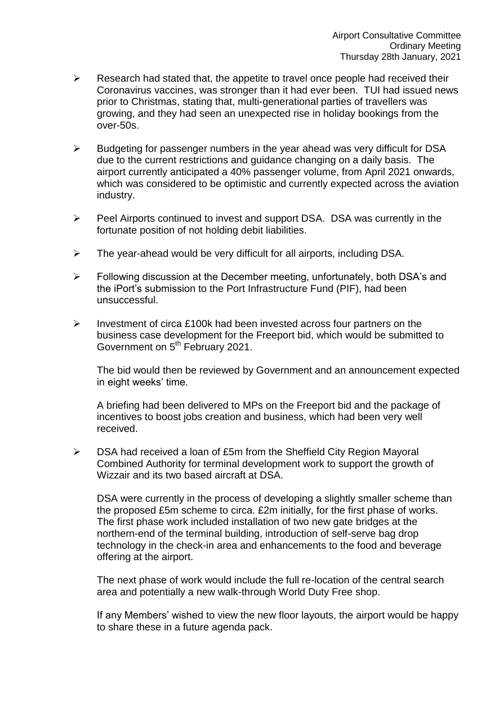- $\triangleright$  Research had stated that, the appetite to travel once people had received their Coronavirus vaccines, was stronger than it had ever been. TUI had issued news prior to Christmas, stating that, multi-generational parties of travellers was growing, and they had seen an unexpected rise in holiday bookings from the over-50s.
- $\triangleright$  Budgeting for passenger numbers in the year ahead was very difficult for DSA due to the current restrictions and guidance changing on a daily basis. The airport currently anticipated a 40% passenger volume, from April 2021 onwards, which was considered to be optimistic and currently expected across the aviation industry.
- $\triangleright$  Peel Airports continued to invest and support DSA. DSA was currently in the fortunate position of not holding debit liabilities.
- $\triangleright$  The year-ahead would be very difficult for all airports, including DSA.
- Following discussion at the December meeting, unfortunately, both DSA's and the iPort's submission to the Port Infrastructure Fund (PIF), had been unsuccessful.
- $\triangleright$  Investment of circa £100k had been invested across four partners on the business case development for the Freeport bid, which would be submitted to Government on 5<sup>th</sup> February 2021.

The bid would then be reviewed by Government and an announcement expected in eight weeks' time.

A briefing had been delivered to MPs on the Freeport bid and the package of incentives to boost jobs creation and business, which had been very well received.

 DSA had received a loan of £5m from the Sheffield City Region Mayoral Combined Authority for terminal development work to support the growth of Wizzair and its two based aircraft at DSA.

DSA were currently in the process of developing a slightly smaller scheme than the proposed £5m scheme to circa. £2m initially, for the first phase of works. The first phase work included installation of two new gate bridges at the northern-end of the terminal building, introduction of self-serve bag drop technology in the check-in area and enhancements to the food and beverage offering at the airport.

The next phase of work would include the full re-location of the central search area and potentially a new walk-through World Duty Free shop.

If any Members' wished to view the new floor layouts, the airport would be happy to share these in a future agenda pack.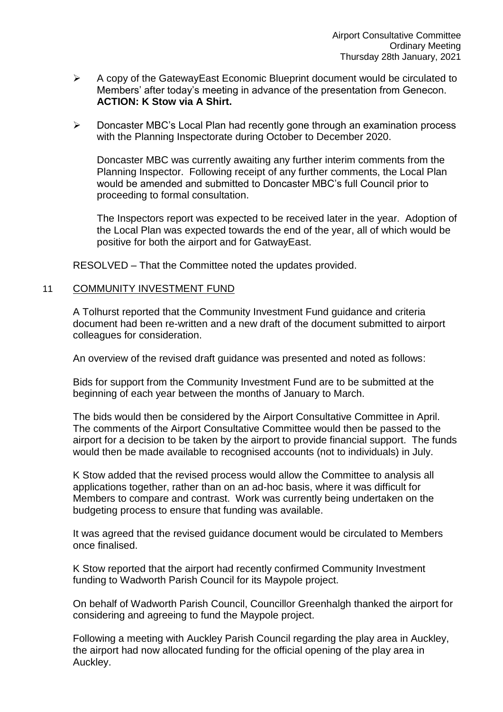- $\triangleright$  A copy of the GatewayEast Economic Blueprint document would be circulated to Members' after today's meeting in advance of the presentation from Genecon. **ACTION: K Stow via A Shirt.**
- Doncaster MBC's Local Plan had recently gone through an examination process with the Planning Inspectorate during October to December 2020.

Doncaster MBC was currently awaiting any further interim comments from the Planning Inspector. Following receipt of any further comments, the Local Plan would be amended and submitted to Doncaster MBC's full Council prior to proceeding to formal consultation.

The Inspectors report was expected to be received later in the year. Adoption of the Local Plan was expected towards the end of the year, all of which would be positive for both the airport and for GatwayEast.

RESOLVED – That the Committee noted the updates provided.

#### 11 COMMUNITY INVESTMENT FUND

A Tolhurst reported that the Community Investment Fund guidance and criteria document had been re-written and a new draft of the document submitted to airport colleagues for consideration.

An overview of the revised draft guidance was presented and noted as follows:

Bids for support from the Community Investment Fund are to be submitted at the beginning of each year between the months of January to March.

The bids would then be considered by the Airport Consultative Committee in April. The comments of the Airport Consultative Committee would then be passed to the airport for a decision to be taken by the airport to provide financial support. The funds would then be made available to recognised accounts (not to individuals) in July.

K Stow added that the revised process would allow the Committee to analysis all applications together, rather than on an ad-hoc basis, where it was difficult for Members to compare and contrast. Work was currently being undertaken on the budgeting process to ensure that funding was available.

It was agreed that the revised guidance document would be circulated to Members once finalised.

K Stow reported that the airport had recently confirmed Community Investment funding to Wadworth Parish Council for its Maypole project.

On behalf of Wadworth Parish Council, Councillor Greenhalgh thanked the airport for considering and agreeing to fund the Maypole project.

Following a meeting with Auckley Parish Council regarding the play area in Auckley, the airport had now allocated funding for the official opening of the play area in Auckley.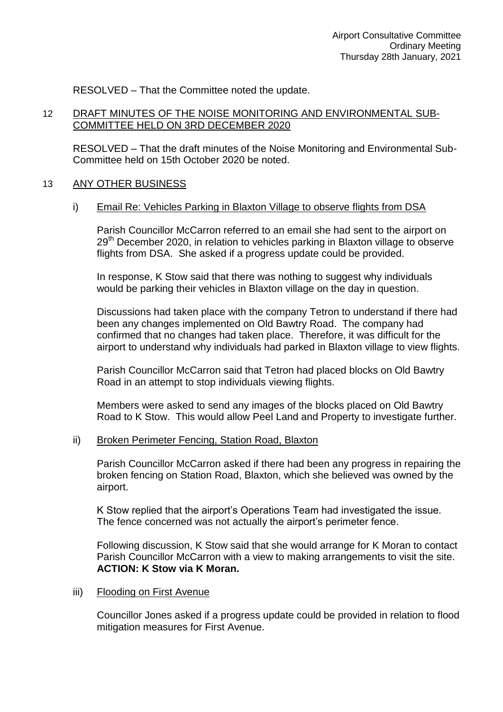RESOLVED – That the Committee noted the update.

## 12 DRAFT MINUTES OF THE NOISE MONITORING AND ENVIRONMENTAL SUB-COMMITTEE HELD ON 3RD DECEMBER 2020

RESOLVED – That the draft minutes of the Noise Monitoring and Environmental Sub-Committee held on 15th October 2020 be noted.

### 13 ANY OTHER BUSINESS

#### i) Email Re: Vehicles Parking in Blaxton Village to observe flights from DSA

Parish Councillor McCarron referred to an email she had sent to the airport on 29<sup>th</sup> December 2020, in relation to vehicles parking in Blaxton village to observe flights from DSA. She asked if a progress update could be provided.

In response, K Stow said that there was nothing to suggest why individuals would be parking their vehicles in Blaxton village on the day in question.

Discussions had taken place with the company Tetron to understand if there had been any changes implemented on Old Bawtry Road. The company had confirmed that no changes had taken place. Therefore, it was difficult for the airport to understand why individuals had parked in Blaxton village to view flights.

Parish Councillor McCarron said that Tetron had placed blocks on Old Bawtry Road in an attempt to stop individuals viewing flights.

Members were asked to send any images of the blocks placed on Old Bawtry Road to K Stow. This would allow Peel Land and Property to investigate further.

#### ii) Broken Perimeter Fencing, Station Road, Blaxton

Parish Councillor McCarron asked if there had been any progress in repairing the broken fencing on Station Road, Blaxton, which she believed was owned by the airport.

K Stow replied that the airport's Operations Team had investigated the issue. The fence concerned was not actually the airport's perimeter fence.

Following discussion, K Stow said that she would arrange for K Moran to contact Parish Councillor McCarron with a view to making arrangements to visit the site. **ACTION: K Stow via K Moran.** 

iii) Flooding on First Avenue

Councillor Jones asked if a progress update could be provided in relation to flood mitigation measures for First Avenue.